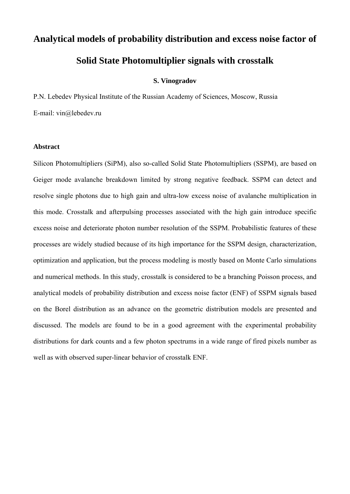# **Analytical models of probability distribution and excess noise factor of**

# **Solid State Photomultiplier signals with crosstalk**

# **S. Vinogradov**

P.N. Lebedev Physical Institute of the Russian Academy of Sciences, Moscow, Russia E-mail: vin@lebedev.ru

## **Abstract**

Silicon Photomultipliers (SiPM), also so-called Solid State Photomultipliers (SSPM), are based on Geiger mode avalanche breakdown limited by strong negative feedback. SSPM can detect and resolve single photons due to high gain and ultra-low excess noise of avalanche multiplication in this mode. Crosstalk and afterpulsing processes associated with the high gain introduce specific excess noise and deteriorate photon number resolution of the SSPM. Probabilistic features of these processes are widely studied because of its high importance for the SSPM design, characterization, optimization and application, but the process modeling is mostly based on Monte Carlo simulations and numerical methods. In this study, crosstalk is considered to be a branching Poisson process, and analytical models of probability distribution and excess noise factor (ENF) of SSPM signals based on the Borel distribution as an advance on the geometric distribution models are presented and discussed. The models are found to be in a good agreement with the experimental probability distributions for dark counts and a few photon spectrums in a wide range of fired pixels number as well as with observed super-linear behavior of crosstalk ENF.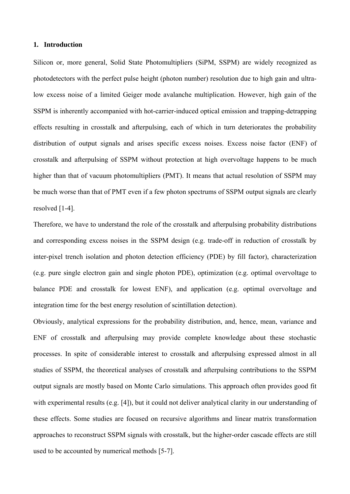#### **1. Introduction**

Silicon or, more general, Solid State Photomultipliers (SiPM, SSPM) are widely recognized as photodetectors with the perfect pulse height (photon number) resolution due to high gain and ultralow excess noise of a limited Geiger mode avalanche multiplication. However, high gain of the SSPM is inherently accompanied with hot-carrier-induced optical emission and trapping-detrapping effects resulting in crosstalk and afterpulsing, each of which in turn deteriorates the probability distribution of output signals and arises specific excess noises. Excess noise factor (ENF) of crosstalk and afterpulsing of SSPM without protection at high overvoltage happens to be much higher than that of vacuum photomultipliers (PMT). It means that actual resolution of SSPM may be much worse than that of PMT even if a few photon spectrums of SSPM output signals are clearly resolved [1-4].

Therefore, we have to understand the role of the crosstalk and afterpulsing probability distributions and corresponding excess noises in the SSPM design (e.g. trade-off in reduction of crosstalk by inter-pixel trench isolation and photon detection efficiency (PDE) by fill factor), characterization (e.g. pure single electron gain and single photon PDE), optimization (e.g. optimal overvoltage to balance PDE and crosstalk for lowest ENF), and application (e.g. optimal overvoltage and integration time for the best energy resolution of scintillation detection).

Obviously, analytical expressions for the probability distribution, and, hence, mean, variance and ENF of crosstalk and afterpulsing may provide complete knowledge about these stochastic processes. In spite of considerable interest to crosstalk and afterpulsing expressed almost in all studies of SSPM, the theoretical analyses of crosstalk and afterpulsing contributions to the SSPM output signals are mostly based on Monte Carlo simulations. This approach often provides good fit with experimental results (e.g. [4]), but it could not deliver analytical clarity in our understanding of these effects. Some studies are focused on recursive algorithms and linear matrix transformation approaches to reconstruct SSPM signals with crosstalk, but the higher-order cascade effects are still used to be accounted by numerical methods [5-7].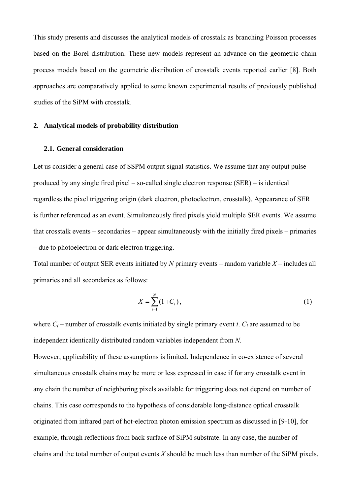This study presents and discusses the analytical models of crosstalk as branching Poisson processes based on the Borel distribution. These new models represent an advance on the geometric chain process models based on the geometric distribution of crosstalk events reported earlier [8]. Both approaches are comparatively applied to some known experimental results of previously published studies of the SiPM with crosstalk.

# **2. Analytical models of probability distribution**

# **2.1. General consideration**

Let us consider a general case of SSPM output signal statistics. We assume that any output pulse produced by any single fired pixel – so-called single electron response (SER) – is identical regardless the pixel triggering origin (dark electron, photoelectron, crosstalk). Appearance of SER is further referenced as an event. Simultaneously fired pixels yield multiple SER events. We assume that crosstalk events – secondaries – appear simultaneously with the initially fired pixels – primaries – due to photoelectron or dark electron triggering.

Total number of output SER events initiated by *N* primary events – random variable *X* – includes all primaries and all secondaries as follows:

$$
X = \sum_{i=1}^{N} (1 + C_i), \tag{1}
$$

where  $C_i$  – number of crosstalk events initiated by single primary event *i*.  $C_i$  are assumed to be independent identically distributed random variables independent from *N.*

However, applicability of these assumptions is limited. Independence in co-existence of several simultaneous crosstalk chains may be more or less expressed in case if for any crosstalk event in any chain the number of neighboring pixels available for triggering does not depend on number of chains. This case corresponds to the hypothesis of considerable long-distance optical crosstalk originated from infrared part of hot-electron photon emission spectrum as discussed in [9-10], for example, through reflections from back surface of SiPM substrate. In any case, the number of chains and the total number of output events *X* should be much less than number of the SiPM pixels.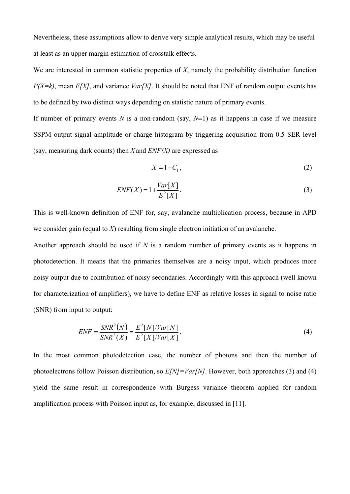Nevertheless, these assumptions allow to derive very simple analytical results, which may be useful at least as an upper margin estimation of crosstalk effects.

We are interested in common statistic properties of *X*, namely the probability distribution function *P(X=k)*, mean *E[X]*, and variance *Var[X]*. It should be noted that ENF of random output events has to be defined by two distinct ways depending on statistic nature of primary events.

If number of primary events *N* is a non-random (say,  $N=1$ ) as it happens in case if we measure SSPM output signal amplitude or charge histogram by triggering acquisition from 0.5 SER level (say, measuring dark counts) then *X* and *ENF(X)* are expressed as

$$
X = 1 + C_1,\tag{2}
$$

$$
ENF(X) = 1 + \frac{Var[X]}{E^2[X]}.
$$
\n(3)

This is well-known definition of ENF for, say, avalanche multiplication process, because in APD we consider gain (equal to *X*) resulting from single electron initiation of an avalanche.

Another approach should be used if *N* is a random number of primary events as it happens in photodetection. It means that the primaries themselves are a noisy input, which produces more noisy output due to contribution of noisy secondaries. Accordingly with this approach (well known for characterization of amplifiers), we have to define ENF as relative losses in signal to noise ratio (SNR) from input to output:

$$
ENF = \frac{SNR^{2}(N)}{SNR^{2}(X)} = \frac{E^{2}[N]/Var[N]}{E^{2}[X]/Var[X]}.
$$
\n(4)

In the most common photodetection case, the number of photons and then the number of photoelectrons follow Poisson distribution, so *E[N]=Var[N]*. However, both approaches (3) and (4) yield the same result in correspondence with Burgess variance theorem applied for random amplification process with Poisson input as, for example, discussed in [11].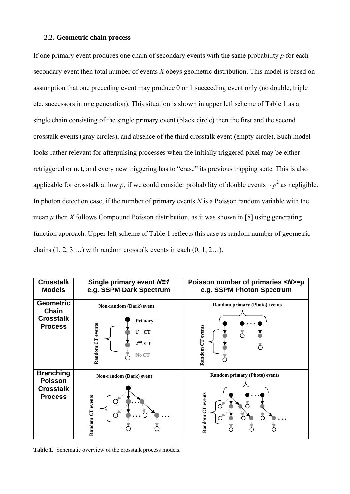#### **2.2. Geometric chain process**

If one primary event produces one chain of secondary events with the same probability *p* for each secondary event then total number of events *X* obeys geometric distribution. This model is based on assumption that one preceding event may produce 0 or 1 succeeding event only (no double, triple etc. successors in one generation). This situation is shown in upper left scheme of Table 1 as a single chain consisting of the single primary event (black circle) then the first and the second crosstalk events (gray circles), and absence of the third crosstalk event (empty circle). Such model looks rather relevant for afterpulsing processes when the initially triggered pixel may be either retriggered or not, and every new triggering has to "erase" its previous trapping state. This is also applicable for crosstalk at low p, if we could consider probability of double events  $\sim p^2$  as negligible. In photon detection case, if the number of primary events *N* is a Poisson random variable with the mean *μ* then *X* follows Compound Poisson distribution, as it was shown in [8] using generating function approach. Upper left scheme of Table 1 reflects this case as random number of geometric chains  $(1, 2, 3, \ldots)$  with random crosstalk events in each  $(0, 1, 2, \ldots)$ .

| <b>Crosstalk</b><br><b>Models</b>                                        | Single primary event N=1<br>e.g. SSPM Dark Spectrum                                                                                 | Poisson number of primaries $\langle N \rangle = \mu$<br>e.g. SSPM Photon Spectrum |
|--------------------------------------------------------------------------|-------------------------------------------------------------------------------------------------------------------------------------|------------------------------------------------------------------------------------|
| <b>Geometric</b><br><b>Chain</b><br><b>Crosstalk</b><br><b>Process</b>   | Non-random (Dark) event<br><b>Primary</b><br>Random CT events<br>$1^{\rm st}$<br><b>CT</b><br>2 <sup>nd</sup><br><b>CT</b><br>No CT | <b>Random primary (Photo) events</b><br>Random CT events                           |
| <b>Branching</b><br><b>Poisson</b><br><b>Crosstalk</b><br><b>Process</b> | Non-random (Dark) event<br>Random CT events                                                                                         | <b>Random primary (Photo) events</b><br>Random CT events<br>Ō                      |

**Table 1.** Schematic overview of the crosstalk process models.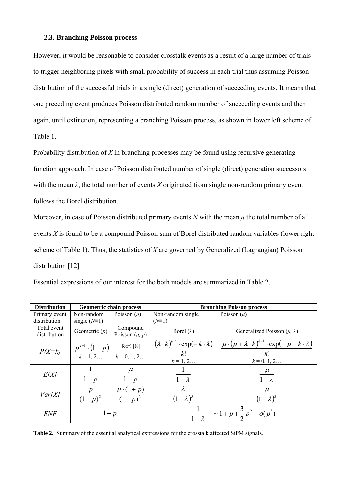## **2.3. Branching Poisson process**

However, it would be reasonable to consider crosstalk events as a result of a large number of trials to trigger neighboring pixels with small probability of success in each trial thus assuming Poisson distribution of the successful trials in a single (direct) generation of succeeding events. It means that one preceding event produces Poisson distributed random number of succeeding events and then again, until extinction, representing a branching Poisson process, as shown in lower left scheme of Table 1.

Probability distribution of *X* in branching processes may be found using recursive generating function approach. In case of Poisson distributed number of single (direct) generation successors with the mean  $\lambda$ , the total number of events *X* originated from single non-random primary event follows the Borel distribution.

Moreover, in case of Poisson distributed primary events *N* with the mean *μ* the total number of all events *X* is found to be a compound Poisson sum of Borel distributed random variables (lower right scheme of Table 1). Thus, the statistics of *X* are governed by Generalized (Lagrangian) Poisson distribution [12].

| Essential expressions of our interest for the both models are summarized in Table 2. |  |  |  |  |  |  |  |  |  |  |  |  |
|--------------------------------------------------------------------------------------|--|--|--|--|--|--|--|--|--|--|--|--|
|--------------------------------------------------------------------------------------|--|--|--|--|--|--|--|--|--|--|--|--|

| <b>Distribution</b>           | Geometric chain process                                    |                                   | <b>Branching Poisson process</b>                                 |                                                                              |  |  |
|-------------------------------|------------------------------------------------------------|-----------------------------------|------------------------------------------------------------------|------------------------------------------------------------------------------|--|--|
| Primary event<br>distribution | Non-random<br>single $(N=1)$                               | Poisson $(\mu)$                   | Non-random single<br>$(N\equiv 1)$                               | Poisson $(\mu)$                                                              |  |  |
| Total event<br>distribution   | Geometric $(p)$                                            | Compound<br>Poisson $(\mu, p)$    | Borel $(\lambda)$                                                | Generalized Poisson ( $\mu$ , $\lambda$ )                                    |  |  |
|                               |                                                            | Ref. [8]                          | $(\lambda \cdot k)^{k-1} \cdot \exp(-k \cdot \lambda)$           | $\mu \cdot (\mu + \lambda \cdot k)^{k-1} \cdot \exp(-\mu - k \cdot \lambda)$ |  |  |
| $P(X=k)$                      | $p^{k-1} \cdot (1-p)$ Ref. [8]<br>$k = 1, 2$ $k = 0, 1, 2$ |                                   | k!<br>$k = 1, 2$                                                 | k!<br>$k = 0, 1, 2$                                                          |  |  |
| E[X]                          | $1-p$                                                      | $\mu$<br>$1-p$                    | $1 - \lambda$                                                    | $\frac{\mu}{\sigma}$<br>$1-\lambda$                                          |  |  |
| Var[X]                        | $\frac{p}{(1-p)^2}$                                        | $\frac{\mu \cdot (1+p)}{(1-p)^2}$ | $\lambda$<br>$(1-\lambda)^3$                                     | $\frac{\mu}{(1-\lambda)^3}$                                                  |  |  |
| <b>ENF</b>                    | $1+p$                                                      |                                   | $\sim 1 + p + \frac{3}{2} p^2 + o(p^3)$<br>$\frac{1}{1-\lambda}$ |                                                                              |  |  |

**Table 2.** Summary of the essential analytical expressions for the crosstalk affected SiPM signals.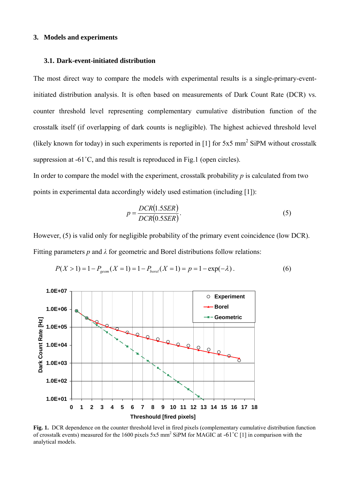### **3. Models and experiments**

#### **3.1. Dark-event-initiated distribution**

The most direct way to compare the models with experimental results is a single-primary-eventinitiated distribution analysis. It is often based on measurements of Dark Count Rate (DCR) vs. counter threshold level representing complementary cumulative distribution function of the crosstalk itself (if overlapping of dark counts is negligible). The highest achieved threshold level (likely known for today) in such experiments is reported in [1] for  $5x5$  mm<sup>2</sup> SiPM without crosstalk suppression at -61<sup>°</sup>C, and this result is reproduced in Fig.1 (open circles).

In order to compare the model with the experiment, crosstalk probability *p* is calculated from two points in experimental data accordingly widely used estimation (including [1]):

$$
p = \frac{DCR(1.5SER)}{DCR(0.5SER)}.\tag{5}
$$

However, (5) is valid only for negligible probability of the primary event coincidence (low DCR). Fitting parameters *p* and *λ* for geometric and Borel distributions follow relations:



$$
P(X > 1) = 1 - P_{\text{geom}}(X = 1) = 1 - P_{\text{borel}}(X = 1) = p = 1 - \exp(-\lambda). \tag{6}
$$

**Fig. 1.** DCR dependence on the counter threshold level in fired pixels (complementary cumulative distribution function of crosstalk events) measured for the 1600 pixels 5x5 mm<sup>2</sup> SiPM for MAGIC at -61 $^{\circ}$ C [1] in comparison with the analytical models.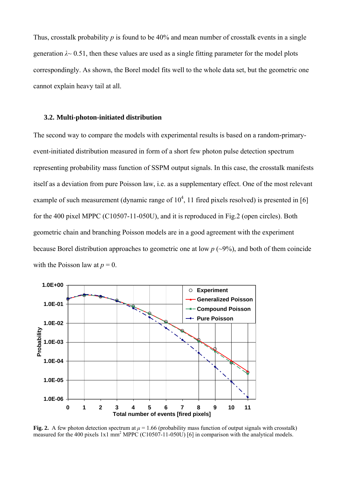Thus, crosstalk probability *p* is found to be 40% and mean number of crosstalk events in a single generation  $\lambda \sim 0.51$ , then these values are used as a single fitting parameter for the model plots correspondingly. As shown, the Borel model fits well to the whole data set, but the geometric one cannot explain heavy tail at all.

#### **3.2. Multi-photon-initiated distribution**

The second way to compare the models with experimental results is based on a random-primaryevent-initiated distribution measured in form of a short few photon pulse detection spectrum representing probability mass function of SSPM output signals. In this case, the crosstalk manifests itself as a deviation from pure Poisson law, i.e. as a supplementary effect. One of the most relevant example of such measurement (dynamic range of  $10^4$ , 11 fired pixels resolved) is presented in [6] for the 400 pixel MPPC (C10507-11-050U), and it is reproduced in Fig.2 (open circles). Both geometric chain and branching Poisson models are in a good agreement with the experiment because Borel distribution approaches to geometric one at low  $p \left( \sim 9\% \right)$ , and both of them coincide with the Poisson law at  $p = 0$ .



**Fig. 2.** A few photon detection spectrum at  $\mu = 1.66$  (probability mass function of output signals with crosstalk) measured for the 400 pixels 1x1 mm<sup>2</sup> MPPC (C10507-11-050U) [6] in comparison with the analytical models.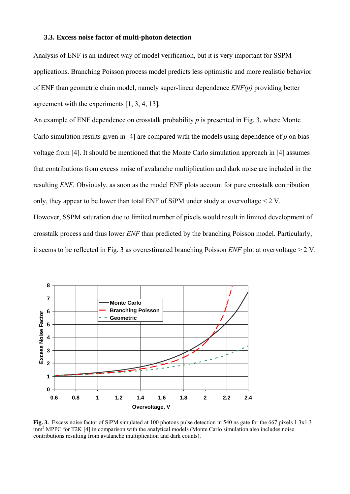#### **3.3. Excess noise factor of multi-photon detection**

Analysis of ENF is an indirect way of model verification, but it is very important for SSPM applications. Branching Poisson process model predicts less optimistic and more realistic behavior of ENF than geometric chain model, namely super-linear dependence *ENF(p)* providing better agreement with the experiments [1, 3, 4, 13]*.*

An example of ENF dependence on crosstalk probability *p* is presented in Fig. 3, where Monte Carlo simulation results given in [4] are compared with the models using dependence of *p* on bias voltage from [4]. It should be mentioned that the Monte Carlo simulation approach in [4] assumes that contributions from excess noise of avalanche multiplication and dark noise are included in the resulting *ENF.* Obviously, as soon as the model ENF plots account for pure crosstalk contribution only, they appear to be lower than total ENF of SiPM under study at overvoltage  $\leq 2$  V. However, SSPM saturation due to limited number of pixels would result in limited development of crosstalk process and thus lower *ENF* than predicted by the branching Poisson model. Particularly, it seems to be reflected in Fig. 3 as overestimated branching Poisson *ENF* plot at overvoltage > 2 V.



**Fig. 3.** Excess noise factor of SiPM simulated at 100 photons pulse detection in 540 ns gate for the 667 pixels 1.3x1.3 mm<sup>2</sup> MPPC for T2K [4] in comparison with the analytical models (Monte Carlo simulation also includes noise contributions resulting from avalanche multiplication and dark counts).